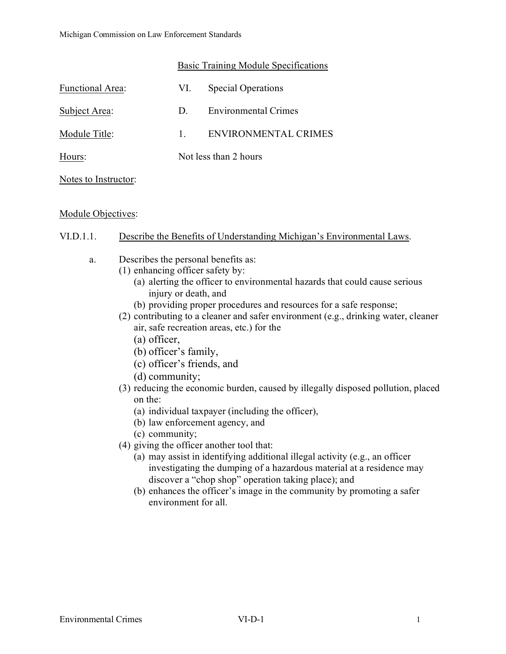|                         | Basic Training Module Specifications |                      |
|-------------------------|--------------------------------------|----------------------|
| <b>Functional Area:</b> | VI.                                  | Special Operations   |
| Subject Area:           | D.                                   | Environmental Crimes |
| Module Title:           | $1_{-}$                              | ENVIRONMENTAL CRIMES |
| Hours:                  | Not less than 2 hours                |                      |
| Notes to Instructor:    |                                      |                      |

## Module Objectives:

## VI.D.1.1. Describe the Benefits of Understanding Michigan's Environmental Laws.

- a. Describes the personal benefits as:
	- (1) enhancing officer safety by:
		- (a) alerting the officer to environmental hazards that could cause serious injury or death, and
		- (b) providing proper procedures and resources for a safe response;
	- (2) contributing to a cleaner and safer environment (e.g., drinking water, cleaner air, safe recreation areas, etc.) for the
		- (a) officer,
		- (b) officer's family,
		- (c) officer's friends, and
		- (d) community;
	- (3) reducing the economic burden, caused by illegally disposed pollution, placed on the:
		- (a) individual taxpayer (including the officer),
		- (b) law enforcement agency, and
		- (c) community;
	- (4) giving the officer another tool that:
		- (a) may assist in identifying additional illegal activity (e.g., an officer investigating the dumping of a hazardous material at a residence may discover a "chop shop" operation taking place); and
		- (b) enhances the officer's image in the community by promoting a safer environment for all.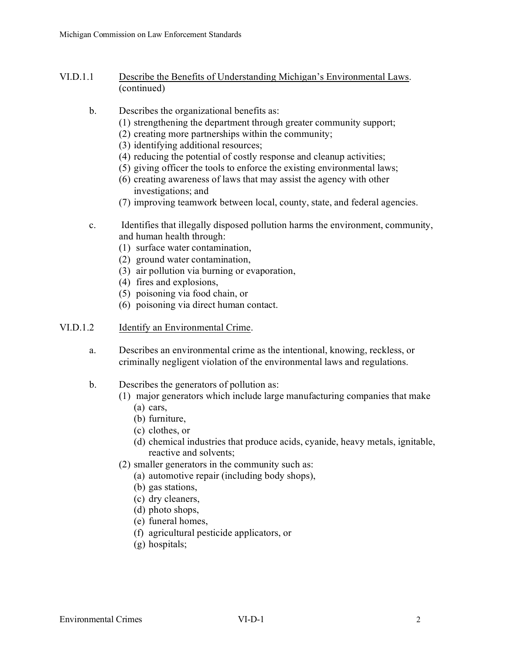- VI.D.1.1 Describe the Benefits of Understanding Michigan's Environmental Laws. (continued)
	- b. Describes the organizational benefits as:
		- (1) strengthening the department through greater community support;
		- (2) creating more partnerships within the community;
		- (3) identifying additional resources;
		- (4) reducing the potential of costly response and cleanup activities;
		- (5) giving officer the tools to enforce the existing environmental laws;
		- (6) creating awareness of laws that may assist the agency with other investigations; and
		- (7) improving teamwork between local, county, state, and federal agencies.
	- c. Identifies that illegally disposed pollution harms the environment, community, and human health through:
		- (1) surface water contamination,
		- (2) ground water contamination,
		- (3) air pollution via burning or evaporation,
		- (4) fires and explosions,
		- (5) poisoning via food chain, or
		- (6) poisoning via direct human contact.

## VI.D.1.2 Identify an Environmental Crime.

- a. Describes an environmental crime as the intentional, knowing, reckless, or criminally negligent violation of the environmental laws and regulations.
- b. Describes the generators of pollution as:
	- (1) major generators which include large manufacturing companies that make
		- (a) cars,
		- (b) furniture,
		- (c) clothes, or
		- (d) chemical industries that produce acids, cyanide, heavy metals, ignitable, reactive and solvents;
	- (2) smaller generators in the community such as:
		- (a) automotive repair (including body shops),
		- (b) gas stations,
		- (c) dry cleaners,
		- (d) photo shops,
		- (e) funeral homes,
		- (f) agricultural pesticide applicators, or
		- (g) hospitals;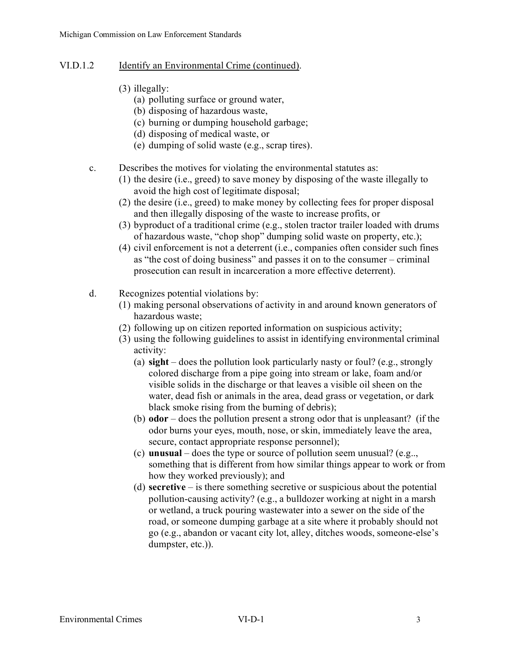- VI.D.1.2 Identify an Environmental Crime (continued).
	- (3) illegally:
		- (a) polluting surface or ground water,
		- (b) disposing of hazardous waste,
		- (c) burning or dumping household garbage;
		- (d) disposing of medical waste, or
		- (e) dumping of solid waste (e.g., scrap tires).
	- c. Describes the motives for violating the environmental statutes as:
		- (1) the desire (i.e., greed) to save money by disposing of the waste illegally to avoid the high cost of legitimate disposal;
		- (2) the desire (i.e., greed) to make money by collecting fees for proper disposal and then illegally disposing of the waste to increase profits, or
		- (3) byproduct of a traditional crime (e.g., stolen tractor trailer loaded with drums of hazardous waste, "chop shop" dumping solid waste on property, etc.);
		- (4) civil enforcement is not a deterrent (i.e., companies often consider such fines as "the cost of doing business" and passes it on to the consumer – criminal prosecution can result in incarceration a more effective deterrent).
	- d. Recognizes potential violations by:
		- (1) making personal observations of activity in and around known generators of hazardous waste;
		- (2) following up on citizen reported information on suspicious activity;
		- (3) using the following guidelines to assist in identifying environmental criminal activity:
			- (a) **sight** does the pollution look particularly nasty or foul? (e.g., strongly colored discharge from a pipe going into stream or lake, foam and/or visible solids in the discharge or that leaves a visible oil sheen on the water, dead fish or animals in the area, dead grass or vegetation, or dark black smoke rising from the burning of debris);
			- (b) **odor**  does the pollution present a strong odor that is unpleasant? (if the odor burns your eyes, mouth, nose, or skin, immediately leave the area, secure, contact appropriate response personnel);
			- (c) **unusual**  does the type or source of pollution seem unusual? (e.g.., something that is different from how similar things appear to work or from how they worked previously); and
			- (d) **secretive**  is there something secretive or suspicious about the potential pollution-causing activity? (e.g., a bulldozer working at night in a marsh or wetland, a truck pouring wastewater into a sewer on the side of the road, or someone dumping garbage at a site where it probably should not go (e.g., abandon or vacant city lot, alley, ditches woods, someone-else's dumpster, etc.)).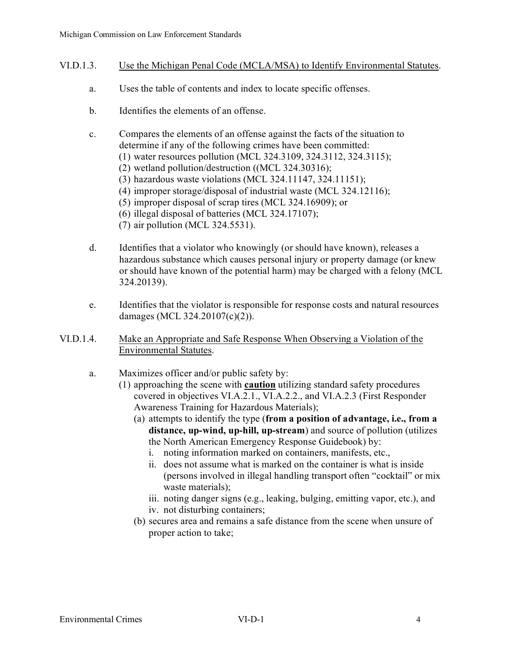- VI.D.1.3. Use the Michigan Penal Code (MCLA/MSA) to Identify Environmental Statutes.
	- a. Uses the table of contents and index to locate specific offenses.
	- b. Identifies the elements of an offense.
	- c. Compares the elements of an offense against the facts of the situation to determine if any of the following crimes have been committed:
		- (1) water resources pollution (MCL 324.3109, 324.3112, 324.3115);
		- (2) wetland pollution/destruction ((MCL 324.30316);
		- (3) hazardous waste violations (MCL 324.11147, 324.11151);
		- (4) improper storage/disposal of industrial waste (MCL 324.12116);
		- (5) improper disposal of scrap tires (MCL 324.16909); or
		- (6) illegal disposal of batteries (MCL 324.17107);
		- (7) air pollution (MCL 324.5531).
	- d. Identifies that a violator who knowingly (or should have known), releases a hazardous substance which causes personal injury or property damage (or knew or should have known of the potential harm) may be charged with a felony (MCL 324.20139).
	- e. Identifies that the violator is responsible for response costs and natural resources damages (MCL 324.20107(c)(2)).
- VI.D.1.4. Make an Appropriate and Safe Response When Observing a Violation of the Environmental Statutes.
	- a. Maximizes officer and/or public safety by:
		- (1) approaching the scene with **caution** utilizing standard safety procedures covered in objectives VI.A.2.1., VI.A.2.2., and VI.A.2.3 (First Responder Awareness Training for Hazardous Materials);
			- (a) attempts to identify the type (**from a position of advantage, i.e., from a distance, up-wind, up-hill, up-stream**) and source of pollution (utilizes the North American Emergency Response Guidebook) by:
				- i. noting information marked on containers, manifests, etc.,
				- ii. does not assume what is marked on the container is what is inside (persons involved in illegal handling transport often "cocktail" or mix waste materials);
				- iii. noting danger signs (e.g., leaking, bulging, emitting vapor, etc.), and iv. not disturbing containers;
			- (b) secures area and remains a safe distance from the scene when unsure of proper action to take;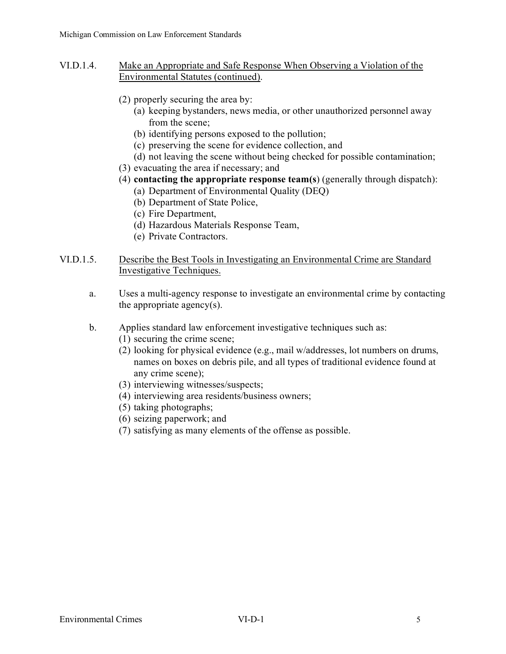- VI.D.1.4. Make an Appropriate and Safe Response When Observing a Violation of the Environmental Statutes (continued).
	- (2) properly securing the area by:
		- (a) keeping bystanders, news media, or other unauthorized personnel away from the scene;
		- (b) identifying persons exposed to the pollution;
		- (c) preserving the scene for evidence collection, and
		- (d) not leaving the scene without being checked for possible contamination;
	- (3) evacuating the area if necessary; and
	- (4) **contacting the appropriate response team(s**) (generally through dispatch):
		- (a) Department of Environmental Quality (DEQ)
		- (b) Department of State Police,
		- (c) Fire Department,
		- (d) Hazardous Materials Response Team,
		- (e) Private Contractors.
- VI.D.1.5. Describe the Best Tools in Investigating an Environmental Crime are Standard Investigative Techniques.
	- a. Uses a multi-agency response to investigate an environmental crime by contacting the appropriate agency(s).
	- b. Applies standard law enforcement investigative techniques such as:
		- (1) securing the crime scene;
		- (2) looking for physical evidence (e.g., mail w/addresses, lot numbers on drums, names on boxes on debris pile, and all types of traditional evidence found at any crime scene);
		- (3) interviewing witnesses/suspects;
		- (4) interviewing area residents/business owners;
		- (5) taking photographs;
		- (6) seizing paperwork; and
		- (7) satisfying as many elements of the offense as possible.